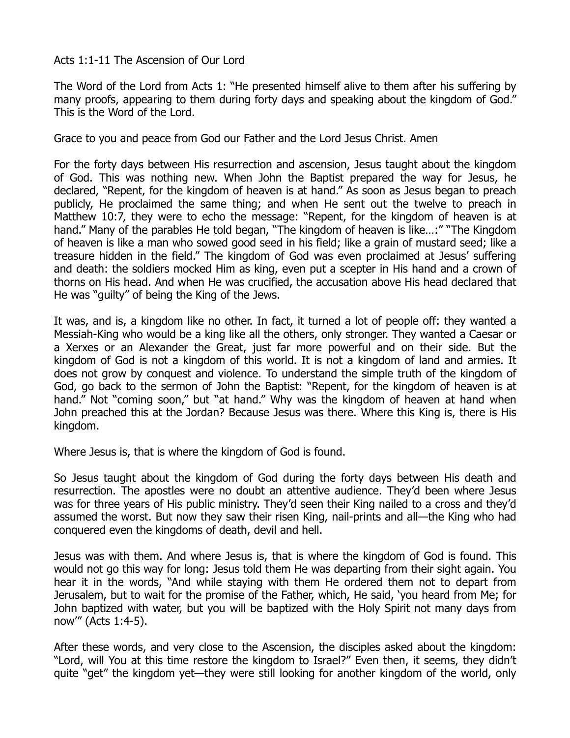## Acts 1:1-11 The Ascension of Our Lord

The Word of the Lord from Acts 1: "He presented himself alive to them after his suffering by many proofs, appearing to them during forty days and speaking about the kingdom of God." This is the Word of the Lord.

Grace to you and peace from God our Father and the Lord Jesus Christ. Amen

For the forty days between His resurrection and ascension, Jesus taught about the kingdom of God. This was nothing new. When John the Baptist prepared the way for Jesus, he declared, "Repent, for the kingdom of heaven is at hand." As soon as Jesus began to preach publicly, He proclaimed the same thing; and when He sent out the twelve to preach in Matthew 10:7, they were to echo the message: "Repent, for the kingdom of heaven is at hand." Many of the parables He told began, "The kingdom of heaven is like…:" "The Kingdom of heaven is like a man who sowed good seed in his field; like a grain of mustard seed; like a treasure hidden in the field." The kingdom of God was even proclaimed at Jesus' suffering and death: the soldiers mocked Him as king, even put a scepter in His hand and a crown of thorns on His head. And when He was crucified, the accusation above His head declared that He was "guilty" of being the King of the Jews.

It was, and is, a kingdom like no other. In fact, it turned a lot of people off: they wanted a Messiah-King who would be a king like all the others, only stronger. They wanted a Caesar or a Xerxes or an Alexander the Great, just far more powerful and on their side. But the kingdom of God is not a kingdom of this world. It is not a kingdom of land and armies. It does not grow by conquest and violence. To understand the simple truth of the kingdom of God, go back to the sermon of John the Baptist: "Repent, for the kingdom of heaven is at hand." Not "coming soon," but "at hand." Why was the kingdom of heaven at hand when John preached this at the Jordan? Because Jesus was there. Where this King is, there is His kingdom.

Where Jesus is, that is where the kingdom of God is found.

So Jesus taught about the kingdom of God during the forty days between His death and resurrection. The apostles were no doubt an attentive audience. They'd been where Jesus was for three years of His public ministry. They'd seen their King nailed to a cross and they'd assumed the worst. But now they saw their risen King, nail-prints and all—the King who had conquered even the kingdoms of death, devil and hell.

Jesus was with them. And where Jesus is, that is where the kingdom of God is found. This would not go this way for long: Jesus told them He was departing from their sight again. You hear it in the words, "And while staying with them He ordered them not to depart from Jerusalem, but to wait for the promise of the Father, which, He said, 'you heard from Me; for John baptized with water, but you will be baptized with the Holy Spirit not many days from now'" (Acts 1:4-5).

After these words, and very close to the Ascension, the disciples asked about the kingdom: "Lord, will You at this time restore the kingdom to Israel?" Even then, it seems, they didn't quite "get" the kingdom yet—they were still looking for another kingdom of the world, only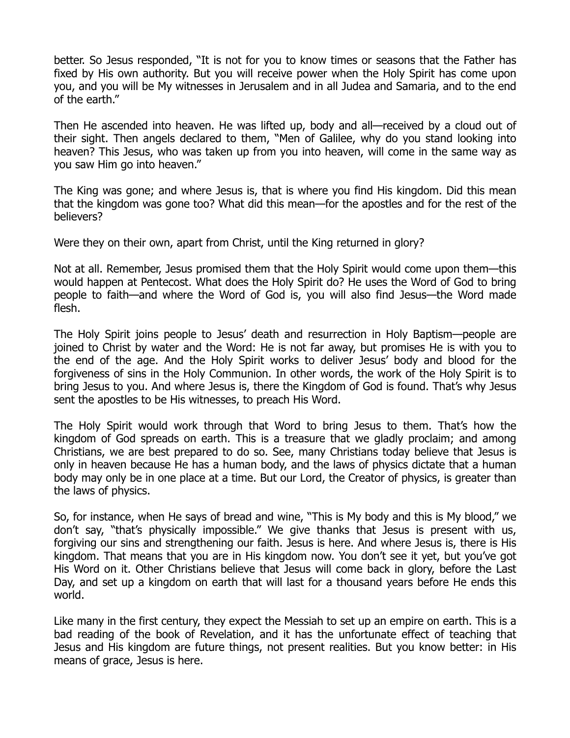better. So Jesus responded, "It is not for you to know times or seasons that the Father has fixed by His own authority. But you will receive power when the Holy Spirit has come upon you, and you will be My witnesses in Jerusalem and in all Judea and Samaria, and to the end of the earth."

Then He ascended into heaven. He was lifted up, body and all—received by a cloud out of their sight. Then angels declared to them, "Men of Galilee, why do you stand looking into heaven? This Jesus, who was taken up from you into heaven, will come in the same way as you saw Him go into heaven."

The King was gone; and where Jesus is, that is where you find His kingdom. Did this mean that the kingdom was gone too? What did this mean—for the apostles and for the rest of the believers?

Were they on their own, apart from Christ, until the King returned in glory?

Not at all. Remember, Jesus promised them that the Holy Spirit would come upon them—this would happen at Pentecost. What does the Holy Spirit do? He uses the Word of God to bring people to faith—and where the Word of God is, you will also find Jesus—the Word made flesh.

The Holy Spirit joins people to Jesus' death and resurrection in Holy Baptism—people are joined to Christ by water and the Word: He is not far away, but promises He is with you to the end of the age. And the Holy Spirit works to deliver Jesus' body and blood for the forgiveness of sins in the Holy Communion. In other words, the work of the Holy Spirit is to bring Jesus to you. And where Jesus is, there the Kingdom of God is found. That's why Jesus sent the apostles to be His witnesses, to preach His Word.

The Holy Spirit would work through that Word to bring Jesus to them. That's how the kingdom of God spreads on earth. This is a treasure that we gladly proclaim; and among Christians, we are best prepared to do so. See, many Christians today believe that Jesus is only in heaven because He has a human body, and the laws of physics dictate that a human body may only be in one place at a time. But our Lord, the Creator of physics, is greater than the laws of physics.

So, for instance, when He says of bread and wine, "This is My body and this is My blood," we don't say, "that's physically impossible." We give thanks that Jesus is present with us, forgiving our sins and strengthening our faith. Jesus is here. And where Jesus is, there is His kingdom. That means that you are in His kingdom now. You don't see it yet, but you've got His Word on it. Other Christians believe that Jesus will come back in glory, before the Last Day, and set up a kingdom on earth that will last for a thousand years before He ends this world.

Like many in the first century, they expect the Messiah to set up an empire on earth. This is a bad reading of the book of Revelation, and it has the unfortunate effect of teaching that Jesus and His kingdom are future things, not present realities. But you know better: in His means of grace, Jesus is here.